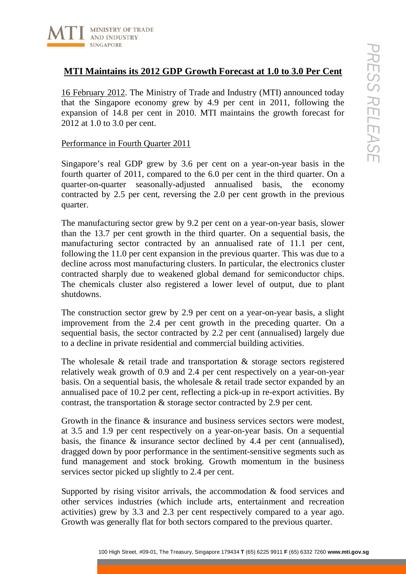

# **MTI Maintains its 2012 GDP Growth Forecast at 1.0 to 3.0 Per Cent**

16 February 2012. The Ministry of Trade and Industry (MTI) announced today that the Singapore economy grew by 4.9 per cent in 2011, following the expansion of 14.8 per cent in 2010. MTI maintains the growth forecast for 2012 at 1.0 to 3.0 per cent.

## Performance in Fourth Quarter 2011

Singapore's real GDP grew by 3.6 per cent on a year-on-year basis in the fourth quarter of 2011, compared to the 6.0 per cent in the third quarter. On a quarter-on-quarter seasonally-adjusted annualised basis, the economy contracted by 2.5 per cent, reversing the 2.0 per cent growth in the previous quarter.

**10.00 H 38. 2012 GDP Growth Forecast at 1.0 to 3.0 Per Cent<br>
1791 Any 2012 T. The Ministry of Trade and Industry (MTI) amongence to compariguone economy grew by 4.9 per cent in 2011. following the**  $\sim$  **Treasury, Singap** The manufacturing sector grew by 9.2 per cent on a year-on-year basis, slower than the 13.7 per cent growth in the third quarter. On a sequential basis, the manufacturing sector contracted by an annualised rate of 11.1 per cent, following the 11.0 per cent expansion in the previous quarter. This was due to a decline across most manufacturing clusters. In particular, the electronics cluster contracted sharply due to weakened global demand for semiconductor chips. The chemicals cluster also registered a lower level of output, due to plant shutdowns.

The construction sector grew by 2.9 per cent on a year-on-year basis, a slight improvement from the 2.4 per cent growth in the preceding quarter. On a sequential basis, the sector contracted by 2.2 per cent (annualised) largely due to a decline in private residential and commercial building activities.

The wholesale & retail trade and transportation & storage sectors registered relatively weak growth of 0.9 and 2.4 per cent respectively on a year-on-year basis. On a sequential basis, the wholesale & retail trade sector expanded by an annualised pace of 10.2 per cent, reflecting a pick-up in re-export activities. By contrast, the transportation & storage sector contracted by 2.9 per cent.

Growth in the finance & insurance and business services sectors were modest, at 3.5 and 1.9 per cent respectively on a year-on-year basis. On a sequential basis, the finance & insurance sector declined by 4.4 per cent (annualised), dragged down by poor performance in the sentiment-sensitive segments such as fund management and stock broking. Growth momentum in the business services sector picked up slightly to 2.4 per cent.

Supported by rising visitor arrivals, the accommodation & food services and other services industries (which include arts, entertainment and recreation activities) grew by 3.3 and 2.3 per cent respectively compared to a year ago. Growth was generally flat for both sectors compared to the previous quarter.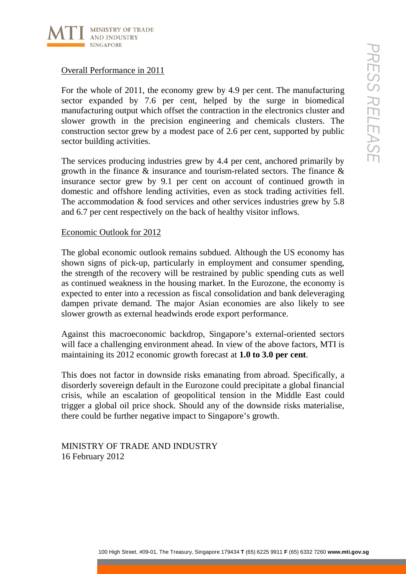

# Overall Performance in 2011

For the whole of 2011, the economy grew by 4.9 per cent. The manufacturing sector expanded by 7.6 per cent, helped by the surge in biomedical manufacturing output which offset the contraction in the electronics cluster and slower growth in the precision engineering and chemicals clusters. The construction sector grew by a modest pace of 2.6 per cent, supported by public sector building activities.

The services producing industries grew by 4.4 per cent, anchored primarily by growth in the finance & insurance and tourism-related sectors. The finance & insurance sector grew by 9.1 per cent on account of continued growth in domestic and offshore lending activities, even as stock trading activities fell. The accommodation & food services and other services industries grew by 5.8 and 6.7 per cent respectively on the back of healthy visitor inflows.

## Economic Outlook for 2012

1000<br>
100 Hotel and 2011, the economy grew by 4.9 per cent. The manufacturing ( $\sqrt{}$ )<br>
punkel by 7.6 per cent, helped by the surge in biomedical<br>
2. Tup and the procedure with orbits the contents of the contents cluster The global economic outlook remains subdued. Although the US economy has shown signs of pick-up, particularly in employment and consumer spending, the strength of the recovery will be restrained by public spending cuts as well as continued weakness in the housing market. In the Eurozone, the economy is expected to enter into a recession as fiscal consolidation and bank deleveraging dampen private demand. The major Asian economies are also likely to see slower growth as external headwinds erode export performance.

Against this macroeconomic backdrop, Singapore's external-oriented sectors will face a challenging environment ahead. In view of the above factors, MTI is maintaining its 2012 economic growth forecast at **1.0 to 3.0 per cent**.

This does not factor in downside risks emanating from abroad. Specifically, a disorderly sovereign default in the Eurozone could precipitate a global financial crisis, while an escalation of geopolitical tension in the Middle East could trigger a global oil price shock. Should any of the downside risks materialise, there could be further negative impact to Singapore's growth.

MINISTRY OF TRADE AND INDUSTRY 16 February 2012